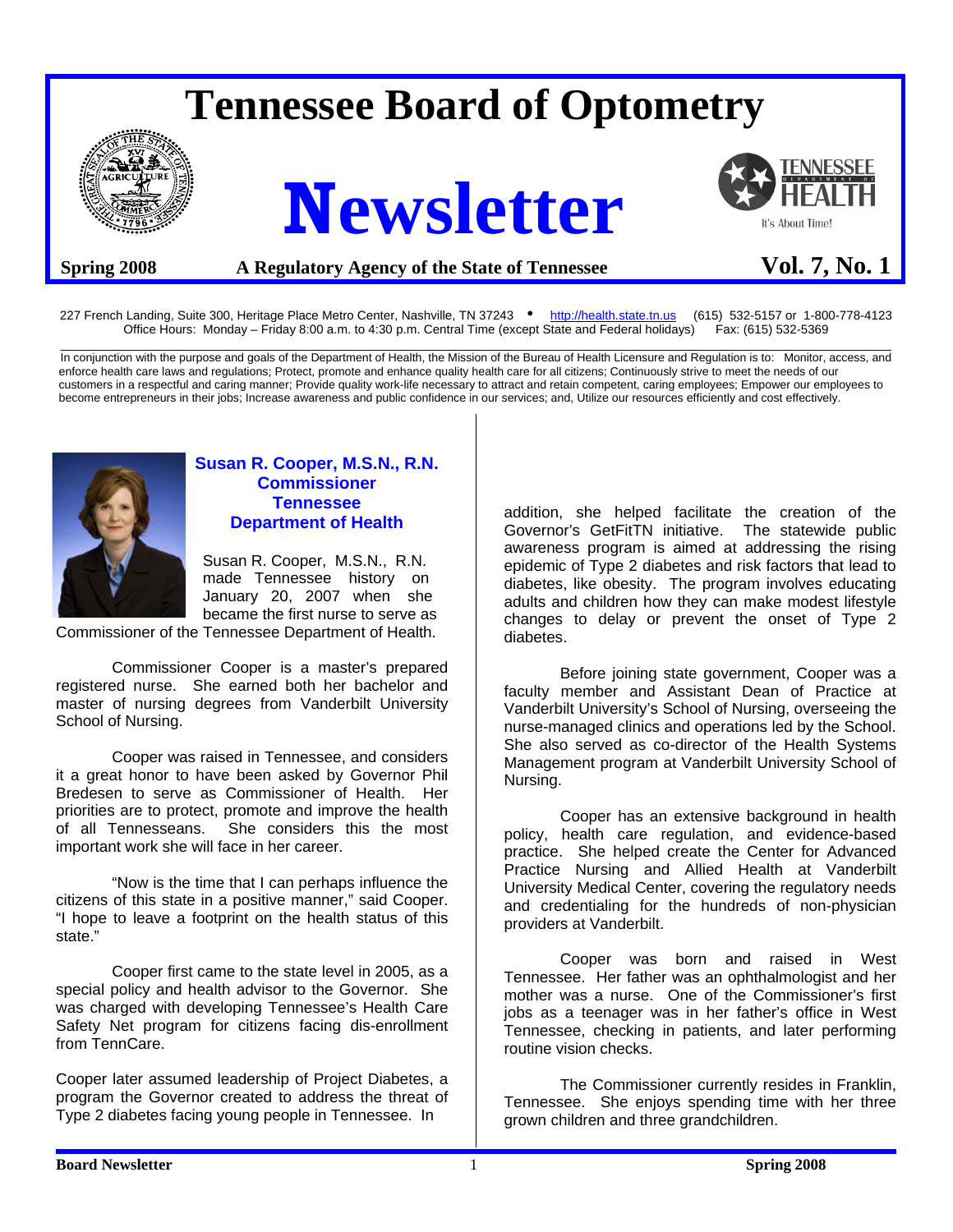# **Tennessee Board of Optometry**



# **Newsletter**



# **Spring 2008** A Regulatory Agency of the State of Tennessee Vol. 7, No. 1

227 French Landing, Suite 300, Heritage Place Metro Center, Nashville, TN 37243 • http://health.state.tn.us (615) 532-5157 or 1-800-778-4123<br>Office Hours: Monday – Friday 8:00 a.m. to 4:30 p.m. Central Time (except State a Office Hours: Monday – Friday 8:00 a.m. to 4:30 p.m. Central Time (except State and Federal holidays)

\_\_\_\_\_\_\_\_\_\_\_\_\_\_\_\_\_\_\_\_\_\_\_\_\_\_\_\_\_\_\_\_\_\_\_\_\_\_\_\_\_\_\_\_\_\_\_\_\_\_\_\_\_\_\_\_\_\_\_\_\_\_\_\_\_\_\_\_\_\_\_\_\_\_\_\_\_\_\_\_\_\_\_\_\_\_\_\_\_\_\_\_\_\_\_\_\_\_\_\_\_\_\_\_\_\_\_\_\_\_\_\_\_\_\_\_\_\_\_\_ In conjunction with the purpose and goals of the Department of Health, the Mission of the Bureau of Health Licensure and Regulation is to: Monitor, access, and enforce health care laws and regulations; Protect, promote and enhance quality health care for all citizens; Continuously strive to meet the needs of our customers in a respectful and caring manner; Provide quality work-life necessary to attract and retain competent, caring employees; Empower our employees to become entrepreneurs in their jobs; Increase awareness and public confidence in our services; and, Utilize our resources efficiently and cost effectively.



#### **Susan R. Cooper, M.S.N., R.N. Commissioner Tennessee Department of Health**

 Susan R. Cooper, M.S.N., R.N. made Tennessee history on January 20, 2007 when she became the first nurse to serve as

Commissioner of the Tennessee Department of Health.

 Commissioner Cooper is a master's prepared registered nurse. She earned both her bachelor and master of nursing degrees from Vanderbilt University School of Nursing.

 Cooper was raised in Tennessee, and considers it a great honor to have been asked by Governor Phil Bredesen to serve as Commissioner of Health. Her priorities are to protect, promote and improve the health of all Tennesseans. She considers this the most important work she will face in her career.

 "Now is the time that I can perhaps influence the citizens of this state in a positive manner," said Cooper. "I hope to leave a footprint on the health status of this state."

 Cooper first came to the state level in 2005, as a special policy and health advisor to the Governor. She was charged with developing Tennessee's Health Care Safety Net program for citizens facing dis-enrollment from TennCare.

Cooper later assumed leadership of Project Diabetes, a program the Governor created to address the threat of Type 2 diabetes facing young people in Tennessee. In

addition, she helped facilitate the creation of the Governor's GetFitTN initiative. The statewide public awareness program is aimed at addressing the rising epidemic of Type 2 diabetes and risk factors that lead to diabetes, like obesity. The program involves educating adults and children how they can make modest lifestyle changes to delay or prevent the onset of Type 2 diabetes.

 Before joining state government, Cooper was a faculty member and Assistant Dean of Practice at Vanderbilt University's School of Nursing, overseeing the nurse-managed clinics and operations led by the School. She also served as co-director of the Health Systems Management program at Vanderbilt University School of Nursing.

 Cooper has an extensive background in health policy, health care regulation, and evidence-based practice. She helped create the Center for Advanced Practice Nursing and Allied Health at Vanderbilt University Medical Center, covering the regulatory needs and credentialing for the hundreds of non-physician providers at Vanderbilt.

 Cooper was born and raised in West Tennessee. Her father was an ophthalmologist and her mother was a nurse. One of the Commissioner's first jobs as a teenager was in her father's office in West Tennessee, checking in patients, and later performing routine vision checks.

 The Commissioner currently resides in Franklin, Tennessee. She enjoys spending time with her three grown children and three grandchildren.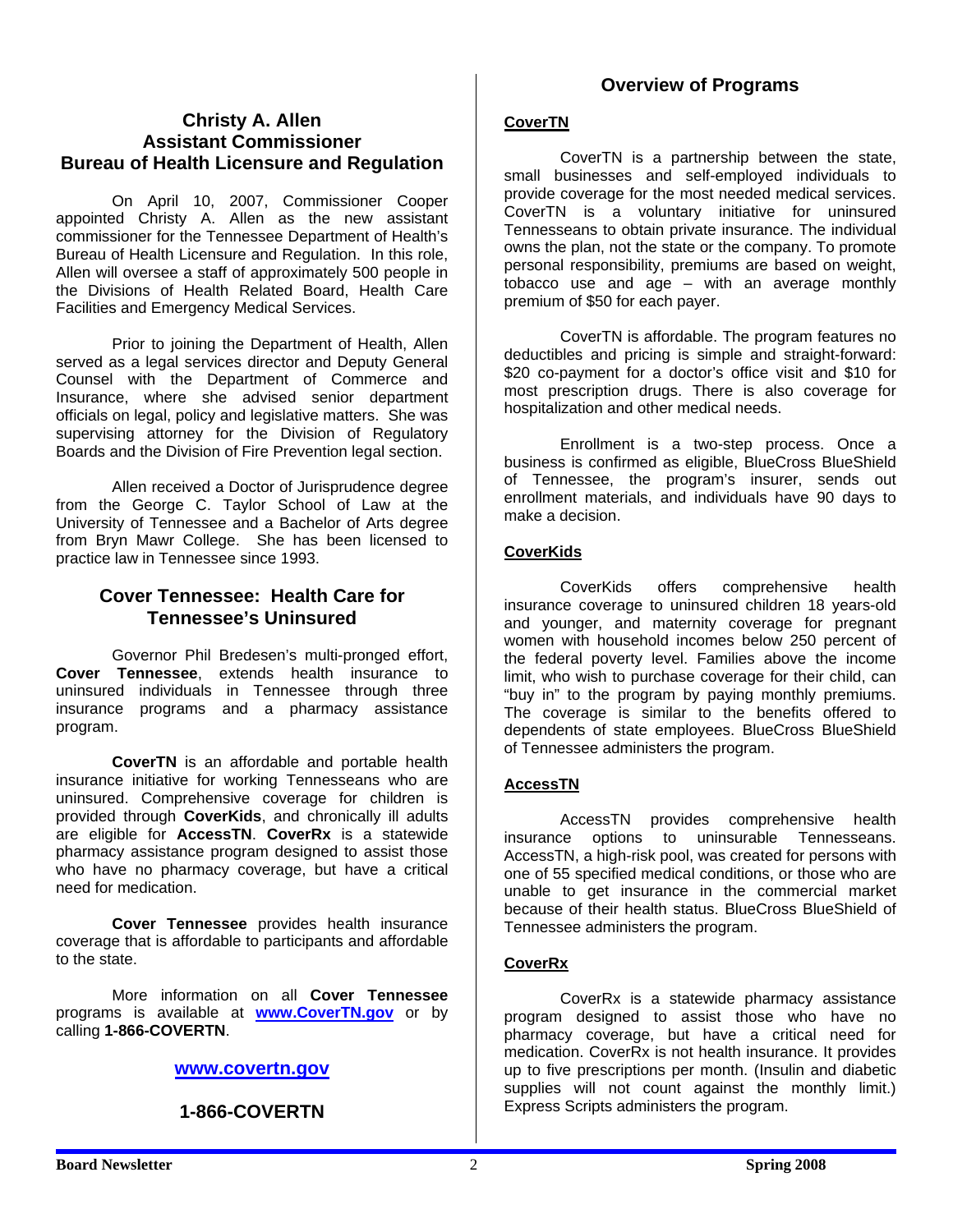# **Christy A. Allen Assistant Commissioner Bureau of Health Licensure and Regulation**

 On April 10, 2007, Commissioner Cooper appointed Christy A. Allen as the new assistant commissioner for the Tennessee Department of Health's Bureau of Health Licensure and Regulation. In this role, Allen will oversee a staff of approximately 500 people in the Divisions of Health Related Board, Health Care Facilities and Emergency Medical Services.

 Prior to joining the Department of Health, Allen served as a legal services director and Deputy General Counsel with the Department of Commerce and Insurance, where she advised senior department officials on legal, policy and legislative matters. She was supervising attorney for the Division of Regulatory Boards and the Division of Fire Prevention legal section.

 Allen received a Doctor of Jurisprudence degree from the George C. Taylor School of Law at the University of Tennessee and a Bachelor of Arts degree from Bryn Mawr College. She has been licensed to practice law in Tennessee since 1993.

# **Cover Tennessee: Health Care for Tennessee's Uninsured**

 Governor Phil Bredesen's multi-pronged effort, **Cover Tennessee**, extends health insurance to uninsured individuals in Tennessee through three insurance programs and a pharmacy assistance program.

 **CoverTN** is an affordable and portable health insurance initiative for working Tennesseans who are uninsured. Comprehensive coverage for children is provided through **CoverKids**, and chronically ill adults are eligible for **AccessTN**. **CoverRx** is a statewide pharmacy assistance program designed to assist those who have no pharmacy coverage, but have a critical need for medication.

 **Cover Tennessee** provides health insurance coverage that is affordable to participants and affordable to the state.

 More information on all **Cover Tennessee** programs is available at **www.CoverTN.gov** or by calling **1-866-COVERTN**.

# **www.covertn.gov**

# **1-866-COVERTN**

#### **CoverTN**

 CoverTN is a partnership between the state, small businesses and self-employed individuals to provide coverage for the most needed medical services. CoverTN is a voluntary initiative for uninsured Tennesseans to obtain private insurance. The individual owns the plan, not the state or the company. To promote personal responsibility, premiums are based on weight, tobacco use and age – with an average monthly premium of \$50 for each payer.

 CoverTN is affordable. The program features no deductibles and pricing is simple and straight-forward: \$20 co-payment for a doctor's office visit and \$10 for most prescription drugs. There is also coverage for hospitalization and other medical needs.

 Enrollment is a two-step process. Once a business is confirmed as eligible, BlueCross BlueShield of Tennessee, the program's insurer, sends out enrollment materials, and individuals have 90 days to make a decision.

#### **CoverKids**

 CoverKids offers comprehensive health insurance coverage to uninsured children 18 years-old and younger, and maternity coverage for pregnant women with household incomes below 250 percent of the federal poverty level. Families above the income limit, who wish to purchase coverage for their child, can "buy in" to the program by paying monthly premiums. The coverage is similar to the benefits offered to dependents of state employees. BlueCross BlueShield of Tennessee administers the program.

#### **AccessTN**

 AccessTN provides comprehensive health insurance options to uninsurable Tennesseans. AccessTN, a high-risk pool, was created for persons with one of 55 specified medical conditions, or those who are unable to get insurance in the commercial market because of their health status. BlueCross BlueShield of Tennessee administers the program.

#### **CoverRx**

 CoverRx is a statewide pharmacy assistance program designed to assist those who have no pharmacy coverage, but have a critical need for medication. CoverRx is not health insurance. It provides up to five prescriptions per month. (Insulin and diabetic supplies will not count against the monthly limit.) Express Scripts administers the program.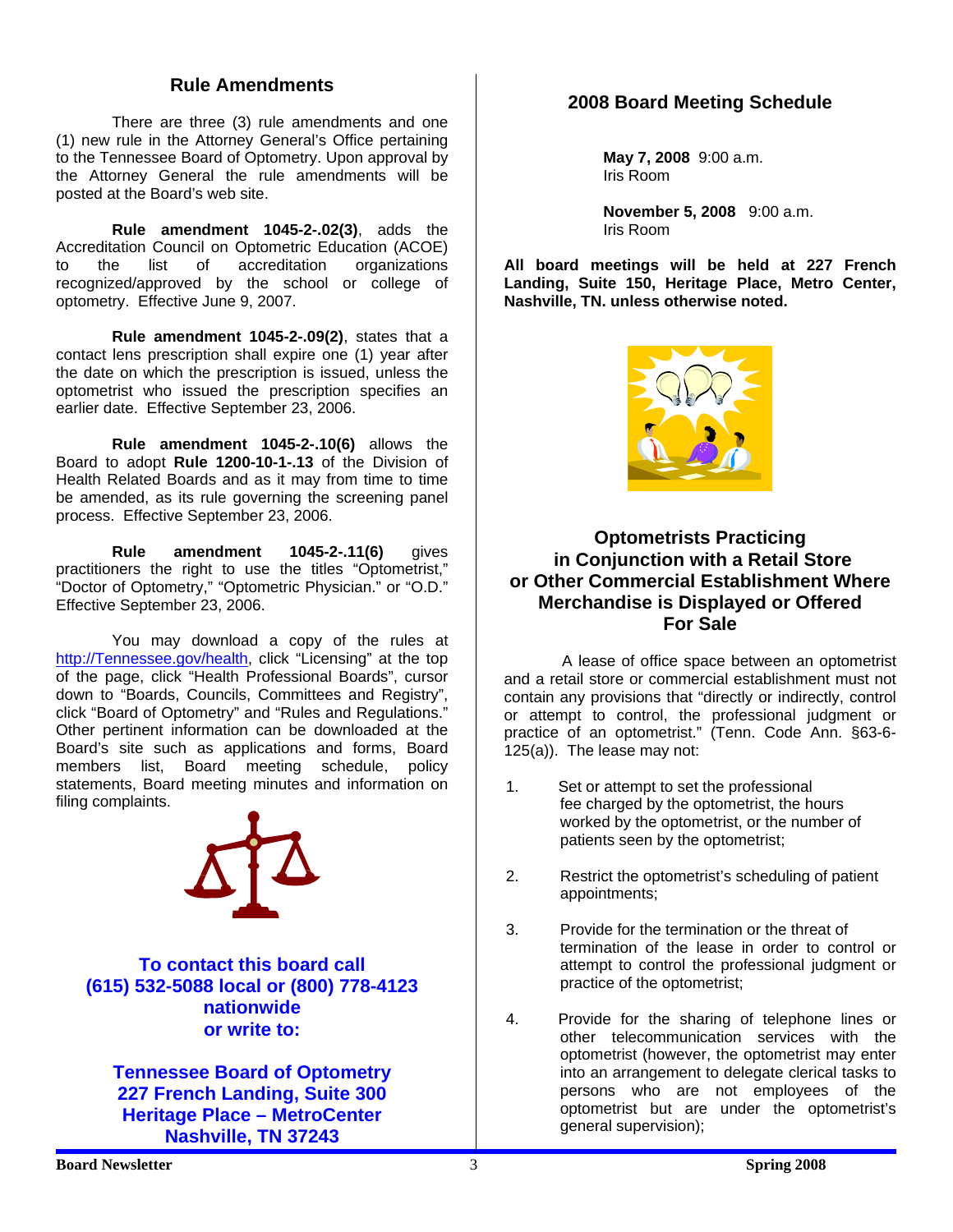#### **Rule Amendments**

 There are three (3) rule amendments and one (1) new rule in the Attorney General's Office pertaining to the Tennessee Board of Optometry. Upon approval by the Attorney General the rule amendments will be posted at the Board's web site.

**Rule amendment 1045-2-.02(3)**, adds the Accreditation Council on Optometric Education (ACOE)<br>to the list of accreditation organizations to the list of accreditation organizations recognized/approved by the school or college of optometry. Effective June 9, 2007.

**Rule amendment 1045-2-.09(2)**, states that a contact lens prescription shall expire one (1) year after the date on which the prescription is issued, unless the optometrist who issued the prescription specifies an earlier date. Effective September 23, 2006.

**Rule amendment 1045-2-.10(6)** allows the Board to adopt **Rule 1200-10-1-.13** of the Division of Health Related Boards and as it may from time to time be amended, as its rule governing the screening panel process. Effective September 23, 2006.

**Rule amendment 1045-2-.11(6)** gives practitioners the right to use the titles "Optometrist," "Doctor of Optometry," "Optometric Physician." or "O.D." Effective September 23, 2006.

 You may download a copy of the rules at http://Tennessee.gov/health, click "Licensing" at the top of the page, click "Health Professional Boards", cursor down to "Boards, Councils, Committees and Registry", click "Board of Optometry" and "Rules and Regulations." Other pertinent information can be downloaded at the Board's site such as applications and forms, Board members list, Board meeting schedule, policy statements, Board meeting minutes and information on filing complaints.



**To contact this board call (615) 532-5088 local or (800) 778-4123 nationwide or write to:** 

**Tennessee Board of Optometry 227 French Landing, Suite 300 Heritage Place – MetroCenter Nashville, TN 37243** 

# **2008 Board Meeting Schedule**

 **May 7, 2008** 9:00 a.m. Iris Room

 **November 5, 2008** 9:00 a.m. Iris Room

**All board meetings will be held at 227 French Landing, Suite 150, Heritage Place, Metro Center, Nashville, TN. unless otherwise noted.** 



#### **Optometrists Practicing in Conjunction with a Retail Store or Other Commercial Establishment Where Merchandise is Displayed or Offered For Sale**

 A lease of office space between an optometrist and a retail store or commercial establishment must not contain any provisions that "directly or indirectly, control or attempt to control, the professional judgment or practice of an optometrist." (Tenn. Code Ann. §63-6- 125(a)). The lease may not:

- 1. Set or attempt to set the professional fee charged by the optometrist, the hours worked by the optometrist, or the number of patients seen by the optometrist;
- 2. Restrict the optometrist's scheduling of patient appointments;
- 3. Provide for the termination or the threat of termination of the lease in order to control or attempt to control the professional judgment or practice of the optometrist;
- 4. Provide for the sharing of telephone lines or other telecommunication services with the optometrist (however, the optometrist may enter into an arrangement to delegate clerical tasks to persons who are not employees of the optometrist but are under the optometrist's general supervision);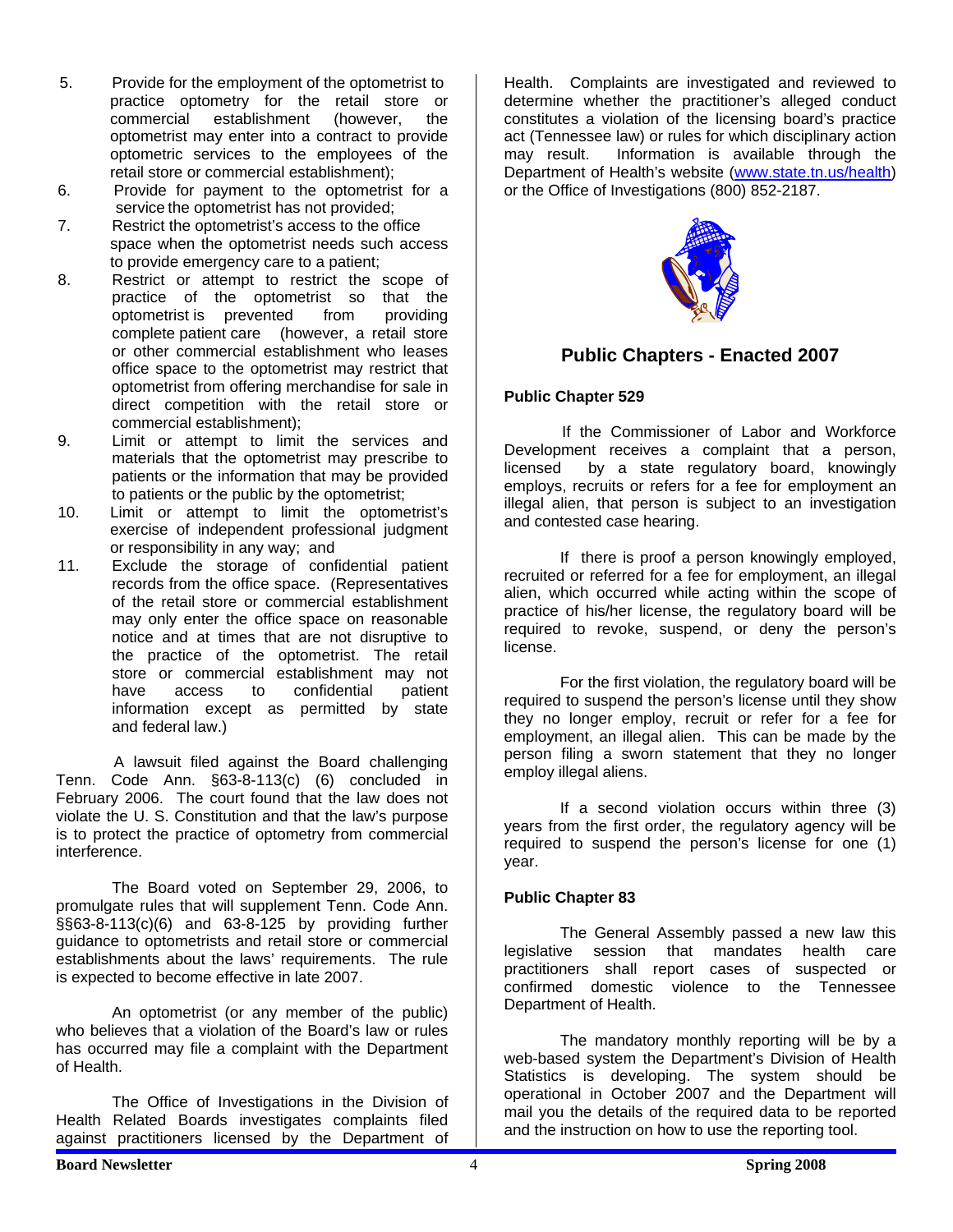- 5. Provide for the employment of the optometrist to practice optometry for the retail store or commercial establishment (however, the optometrist may enter into a contract to provide optometric services to the employees of the retail store or commercial establishment);
- 6. Provide for payment to the optometrist for a service the optometrist has not provided;
- 7. Restrict the optometrist's access to the office space when the optometrist needs such access to provide emergency care to a patient;
- 8. Restrict or attempt to restrict the scope of practice of the optometrist so that the optometrist is prevented from providing complete patient care (however, a retail store or other commercial establishment who leases office space to the optometrist may restrict that optometrist from offering merchandise for sale in direct competition with the retail store or commercial establishment);
- 9. Limit or attempt to limit the services and materials that the optometrist may prescribe to patients or the information that may be provided to patients or the public by the optometrist;
- 10. Limit or attempt to limit the optometrist's exercise of independent professional judgment or responsibility in any way; and
- 11. Exclude the storage of confidential patient records from the office space. (Representatives of the retail store or commercial establishment may only enter the office space on reasonable notice and at times that are not disruptive to the practice of the optometrist. The retail store or commercial establishment may not have access to confidential patient information except as permitted by state and federal law.)

 A lawsuit filed against the Board challenging Tenn. Code Ann. §63-8-113(c) (6) concluded in February 2006. The court found that the law does not violate the U. S. Constitution and that the law's purpose is to protect the practice of optometry from commercial interference.

 The Board voted on September 29, 2006, to promulgate rules that will supplement Tenn. Code Ann. §§63-8-113(c)(6) and 63-8-125 by providing further guidance to optometrists and retail store or commercial establishments about the laws' requirements. The rule is expected to become effective in late 2007.

 An optometrist (or any member of the public) who believes that a violation of the Board's law or rules has occurred may file a complaint with the Department of Health.

 The Office of Investigations in the Division of Health Related Boards investigates complaints filed against practitioners licensed by the Department of

Health. Complaints are investigated and reviewed to determine whether the practitioner's alleged conduct constitutes a violation of the licensing board's practice act (Tennessee law) or rules for which disciplinary action may result. Information is available through the Department of Health's website (www.state.tn.us/health) or the Office of Investigations (800) 852-2187.



# **Public Chapters - Enacted 2007**

#### **Public Chapter 529**

 If the Commissioner of Labor and Workforce Development receives a complaint that a person, licensed by a state regulatory board, knowingly employs, recruits or refers for a fee for employment an illegal alien, that person is subject to an investigation and contested case hearing.

 If there is proof a person knowingly employed, recruited or referred for a fee for employment, an illegal alien, which occurred while acting within the scope of practice of his/her license, the regulatory board will be required to revoke, suspend, or deny the person's license.

 For the first violation, the regulatory board will be required to suspend the person's license until they show they no longer employ, recruit or refer for a fee for employment, an illegal alien. This can be made by the person filing a sworn statement that they no longer employ illegal aliens.

 If a second violation occurs within three (3) years from the first order, the regulatory agency will be required to suspend the person's license for one (1) year.

#### **Public Chapter 83**

 The General Assembly passed a new law this legislative session that mandates health care practitioners shall report cases of suspected or confirmed domestic violence to the Tennessee Department of Health.

 The mandatory monthly reporting will be by a web-based system the Department's Division of Health Statistics is developing. The system should be operational in October 2007 and the Department will mail you the details of the required data to be reported and the instruction on how to use the reporting tool.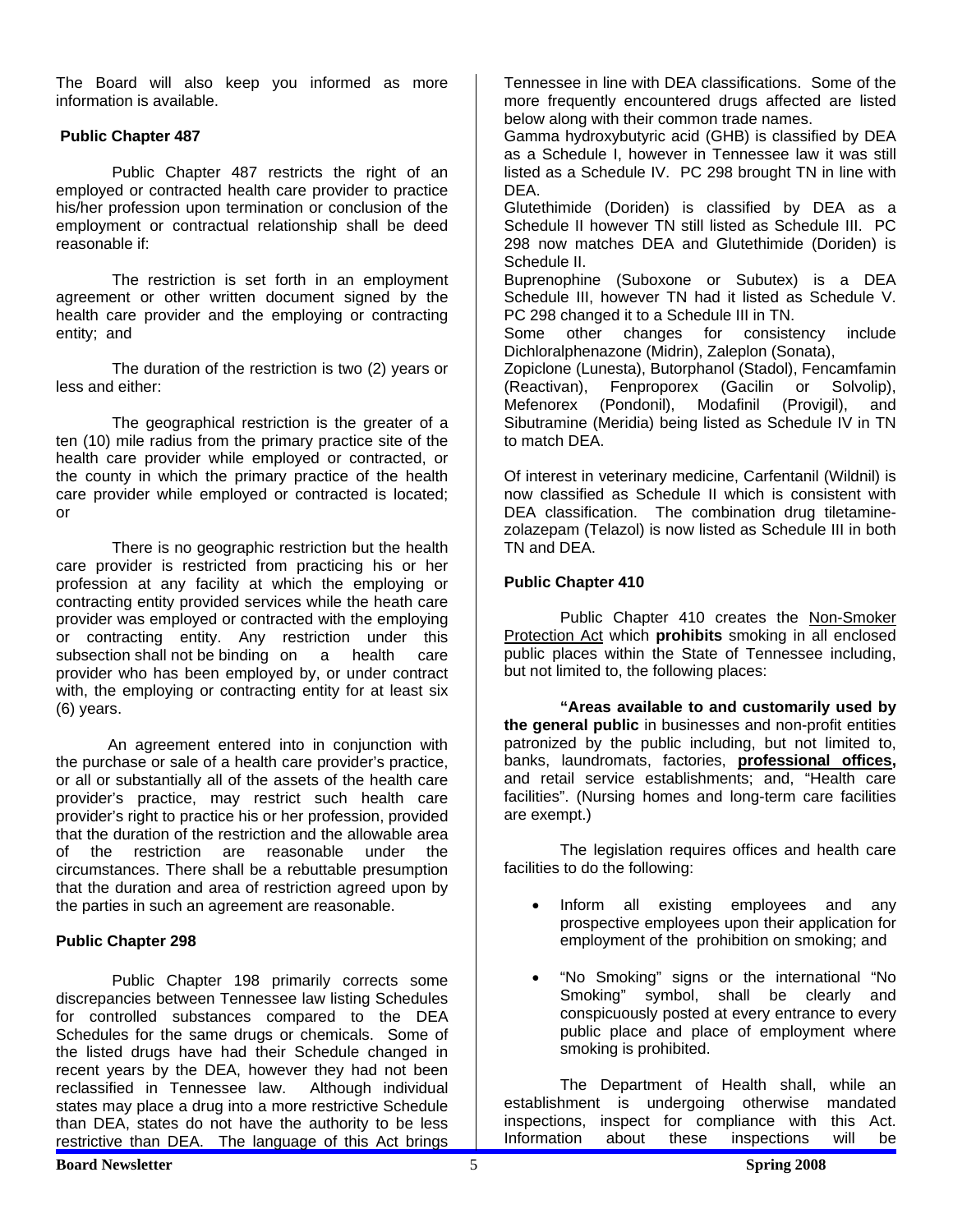The Board will also keep you informed as more information is available.

#### **Public Chapter 487**

 Public Chapter 487 restricts the right of an employed or contracted health care provider to practice his/her profession upon termination or conclusion of the employment or contractual relationship shall be deed reasonable if:

 The restriction is set forth in an employment agreement or other written document signed by the health care provider and the employing or contracting entity; and

 The duration of the restriction is two (2) years or less and either:

 The geographical restriction is the greater of a ten (10) mile radius from the primary practice site of the health care provider while employed or contracted, or the county in which the primary practice of the health care provider while employed or contracted is located; or

 There is no geographic restriction but the health care provider is restricted from practicing his or her profession at any facility at which the employing or contracting entity provided services while the heath care provider was employed or contracted with the employing or contracting entity. Any restriction under this subsection shall not be binding on a health care provider who has been employed by, or under contract with, the employing or contracting entity for at least six (6) years.

 An agreement entered into in conjunction with the purchase or sale of a health care provider's practice, or all or substantially all of the assets of the health care provider's practice, may restrict such health care provider's right to practice his or her profession, provided that the duration of the restriction and the allowable area of the restriction are reasonable under the circumstances. There shall be a rebuttable presumption that the duration and area of restriction agreed upon by the parties in such an agreement are reasonable.

#### **Public Chapter 298**

 Public Chapter 198 primarily corrects some discrepancies between Tennessee law listing Schedules for controlled substances compared to the DEA Schedules for the same drugs or chemicals. Some of the listed drugs have had their Schedule changed in recent years by the DEA, however they had not been reclassified in Tennessee law. Although individual states may place a drug into a more restrictive Schedule than DEA, states do not have the authority to be less restrictive than DEA. The language of this Act brings

Tennessee in line with DEA classifications. Some of the more frequently encountered drugs affected are listed below along with their common trade names.

Gamma hydroxybutyric acid (GHB) is classified by DEA as a Schedule I, however in Tennessee law it was still listed as a Schedule IV. PC 298 brought TN in line with DEA.

Glutethimide (Doriden) is classified by DEA as a Schedule II however TN still listed as Schedule III. PC 298 now matches DEA and Glutethimide (Doriden) is Schedule II.

Buprenophine (Suboxone or Subutex) is a DEA Schedule III, however TN had it listed as Schedule V. PC 298 changed it to a Schedule III in TN.

Some other changes for consistency include Dichloralphenazone (Midrin), Zaleplon (Sonata),

Zopiclone (Lunesta), Butorphanol (Stadol), Fencamfamin (Reactivan), Fenproporex (Gacilin or Solvolip), Mefenorex (Pondonil), Modafinil (Provigil), and Sibutramine (Meridia) being listed as Schedule IV in TN to match DEA.

Of interest in veterinary medicine, Carfentanil (Wildnil) is now classified as Schedule II which is consistent with DEA classification. The combination drug tiletaminezolazepam (Telazol) is now listed as Schedule III in both TN and DEA.

#### **Public Chapter 410**

 Public Chapter 410 creates the Non-Smoker Protection Act which **prohibits** smoking in all enclosed public places within the State of Tennessee including, but not limited to, the following places:

 **"Areas available to and customarily used by the general public** in businesses and non-profit entities patronized by the public including, but not limited to, banks, laundromats, factories, **professional offices,**  and retail service establishments; and, "Health care facilities". (Nursing homes and long-term care facilities are exempt.)

 The legislation requires offices and health care facilities to do the following:

- Inform all existing employees and any prospective employees upon their application for employment of the prohibition on smoking; and
- "No Smoking" signs or the international "No Smoking" symbol, shall be clearly and conspicuously posted at every entrance to every public place and place of employment where smoking is prohibited.

 The Department of Health shall, while an establishment is undergoing otherwise mandated inspections, inspect for compliance with this Act. Information about these inspections will be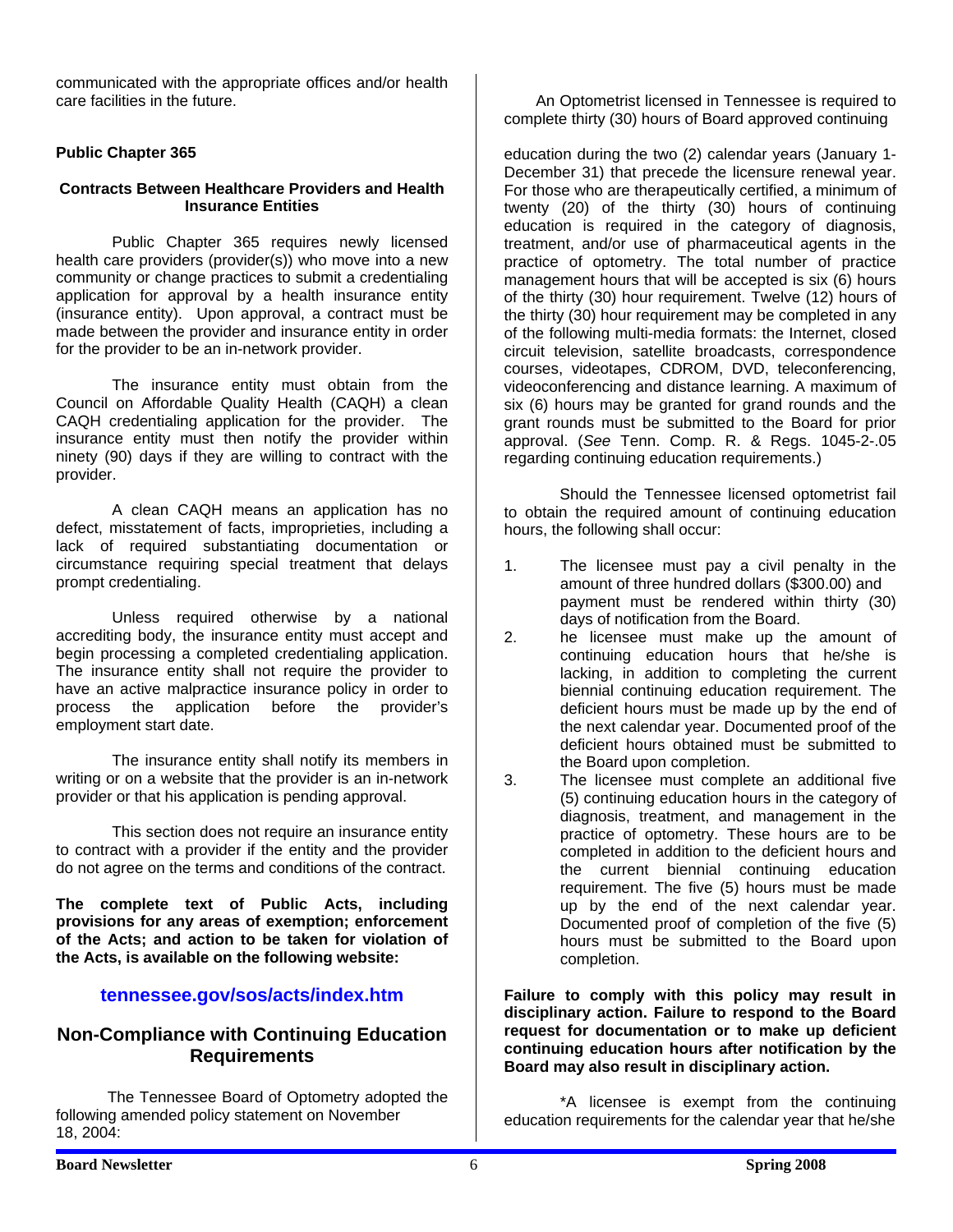communicated with the appropriate offices and/or health care facilities in the future.

#### **Public Chapter 365**

#### **Contracts Between Healthcare Providers and Health Insurance Entities**

Public Chapter 365 requires newly licensed health care providers (provider(s)) who move into a new community or change practices to submit a credentialing application for approval by a health insurance entity (insurance entity). Upon approval, a contract must be made between the provider and insurance entity in order for the provider to be an in-network provider.

 The insurance entity must obtain from the Council on Affordable Quality Health (CAQH) a clean CAQH credentialing application for the provider. The insurance entity must then notify the provider within ninety (90) days if they are willing to contract with the provider.

 A clean CAQH means an application has no defect, misstatement of facts, improprieties, including a lack of required substantiating documentation or circumstance requiring special treatment that delays prompt credentialing.

 Unless required otherwise by a national accrediting body, the insurance entity must accept and begin processing a completed credentialing application. The insurance entity shall not require the provider to have an active malpractice insurance policy in order to process the application before the provider's employment start date.

 The insurance entity shall notify its members in writing or on a website that the provider is an in-network provider or that his application is pending approval.

 This section does not require an insurance entity to contract with a provider if the entity and the provider do not agree on the terms and conditions of the contract.

**The complete text of Public Acts, including provisions for any areas of exemption; enforcement of the Acts; and action to be taken for violation of the Acts, is available on the following website:** 

#### **tennessee.gov/sos/acts/index.htm**

#### **Non-Compliance with Continuing Education Requirements**

 The Tennessee Board of Optometry adopted the following amended policy statement on November 18, 2004:

 An Optometrist licensed in Tennessee is required to complete thirty (30) hours of Board approved continuing

education during the two (2) calendar years (January 1- December 31) that precede the licensure renewal year. For those who are therapeutically certified, a minimum of twenty (20) of the thirty (30) hours of continuing education is required in the category of diagnosis, treatment, and/or use of pharmaceutical agents in the practice of optometry. The total number of practice management hours that will be accepted is six (6) hours of the thirty (30) hour requirement. Twelve (12) hours of the thirty (30) hour requirement may be completed in any of the following multi-media formats: the Internet, closed circuit television, satellite broadcasts, correspondence courses, videotapes, CDROM, DVD, teleconferencing, videoconferencing and distance learning. A maximum of six (6) hours may be granted for grand rounds and the grant rounds must be submitted to the Board for prior approval. (*See* Tenn. Comp. R. & Regs. 1045-2-.05 regarding continuing education requirements.)

Should the Tennessee licensed optometrist fail to obtain the required amount of continuing education hours, the following shall occur:

- 1. The licensee must pay a civil penalty in the amount of three hundred dollars (\$300.00) and payment must be rendered within thirty (30) days of notification from the Board.
- 2. he licensee must make up the amount of continuing education hours that he/she is lacking, in addition to completing the current biennial continuing education requirement. The deficient hours must be made up by the end of the next calendar year. Documented proof of the deficient hours obtained must be submitted to the Board upon completion.
- 3. The licensee must complete an additional five (5) continuing education hours in the category of diagnosis, treatment, and management in the practice of optometry. These hours are to be completed in addition to the deficient hours and the current biennial continuing education requirement. The five (5) hours must be made up by the end of the next calendar year. Documented proof of completion of the five (5) hours must be submitted to the Board upon completion.

**Failure to comply with this policy may result in disciplinary action. Failure to respond to the Board request for documentation or to make up deficient continuing education hours after notification by the Board may also result in disciplinary action.** 

 \*A licensee is exempt from the continuing education requirements for the calendar year that he/she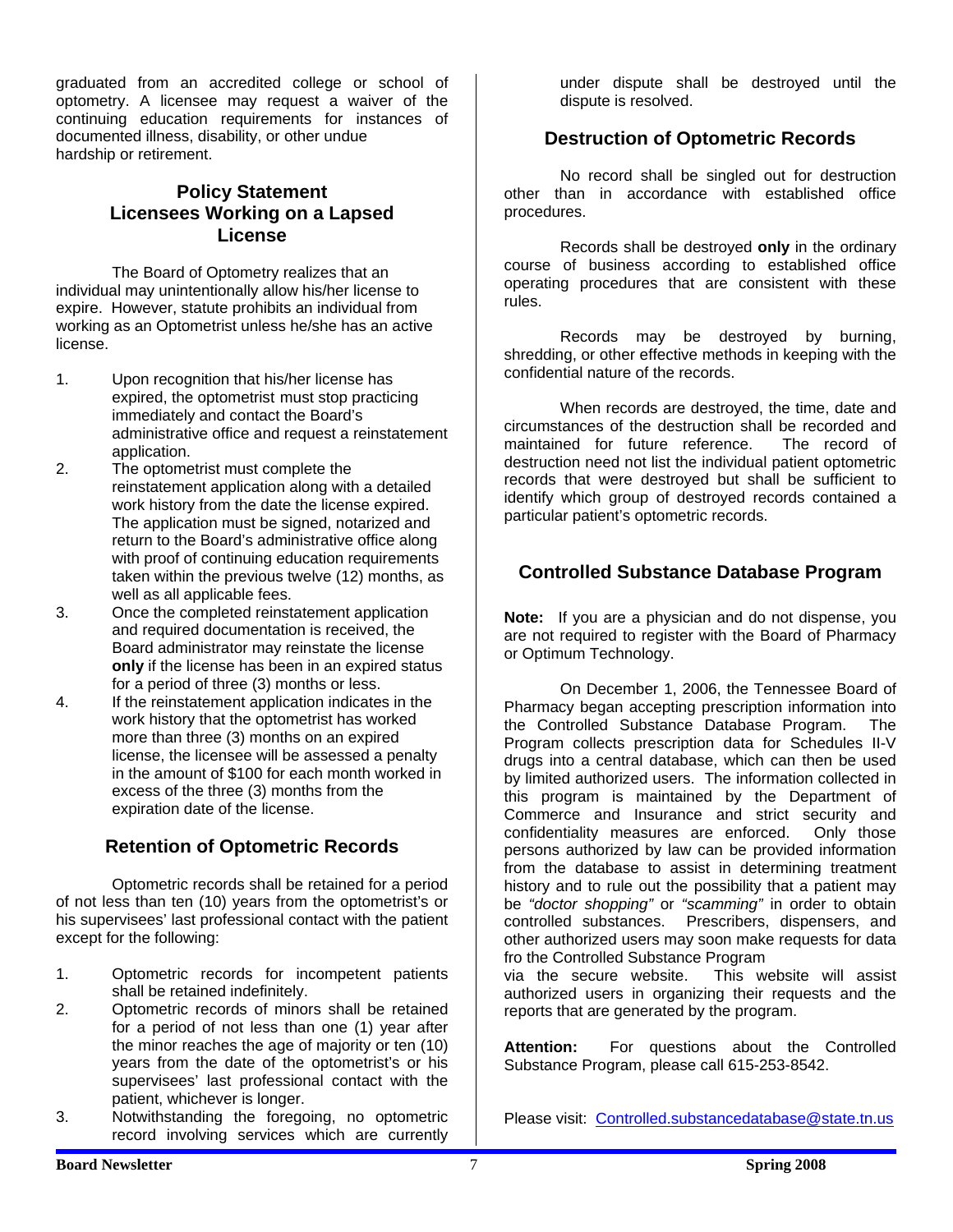graduated from an accredited college or school of optometry. A licensee may request a waiver of the continuing education requirements for instances of documented illness, disability, or other undue hardship or retirement.

## **Policy Statement Licensees Working on a Lapsed License**

 The Board of Optometry realizes that an individual may unintentionally allow his/her license to expire. However, statute prohibits an individual from working as an Optometrist unless he/she has an active license.

- 1. Upon recognition that his/her license has expired, the optometrist must stop practicing immediately and contact the Board's administrative office and request a reinstatement application.
- 2. The optometrist must complete the reinstatement application along with a detailed work history from the date the license expired. The application must be signed, notarized and return to the Board's administrative office along with proof of continuing education requirements taken within the previous twelve (12) months, as well as all applicable fees.
- 3. Once the completed reinstatement application and required documentation is received, the Board administrator may reinstate the license **only** if the license has been in an expired status for a period of three (3) months or less.
- 4. If the reinstatement application indicates in the work history that the optometrist has worked more than three (3) months on an expired license, the licensee will be assessed a penalty in the amount of \$100 for each month worked in excess of the three (3) months from the expiration date of the license.

# **Retention of Optometric Records**

 Optometric records shall be retained for a period of not less than ten (10) years from the optometrist's or his supervisees' last professional contact with the patient except for the following:

- 1. Optometric records for incompetent patients shall be retained indefinitely.
- 2. Optometric records of minors shall be retained for a period of not less than one (1) year after the minor reaches the age of majority or ten (10) years from the date of the optometrist's or his supervisees' last professional contact with the patient, whichever is longer.
- 3. Notwithstanding the foregoing, no optometric record involving services which are currently

 under dispute shall be destroyed until the dispute is resolved.

# **Destruction of Optometric Records**

No record shall be singled out for destruction other than in accordance with established office procedures.

 Records shall be destroyed **only** in the ordinary course of business according to established office operating procedures that are consistent with these rules.

 Records may be destroyed by burning, shredding, or other effective methods in keeping with the confidential nature of the records.

 When records are destroyed, the time, date and circumstances of the destruction shall be recorded and maintained for future reference. The record of destruction need not list the individual patient optometric records that were destroyed but shall be sufficient to identify which group of destroyed records contained a particular patient's optometric records.

# **Controlled Substance Database Program**

**Note:** If you are a physician and do not dispense, you are not required to register with the Board of Pharmacy or Optimum Technology.

 On December 1, 2006, the Tennessee Board of Pharmacy began accepting prescription information into the Controlled Substance Database Program. The Program collects prescription data for Schedules II-V drugs into a central database, which can then be used by limited authorized users. The information collected in this program is maintained by the Department of Commerce and Insurance and strict security and confidentiality measures are enforced. Only those persons authorized by law can be provided information from the database to assist in determining treatment history and to rule out the possibility that a patient may be *"doctor shopping"* or *"scamming"* in order to obtain controlled substances. Prescribers, dispensers, and other authorized users may soon make requests for data fro the Controlled Substance Program

via the secure website. This website will assist authorized users in organizing their requests and the reports that are generated by the program.

**Attention:** For questions about the Controlled Substance Program, please call 615-253-8542.

Please visit: Controlled.substancedatabase@state.tn.us